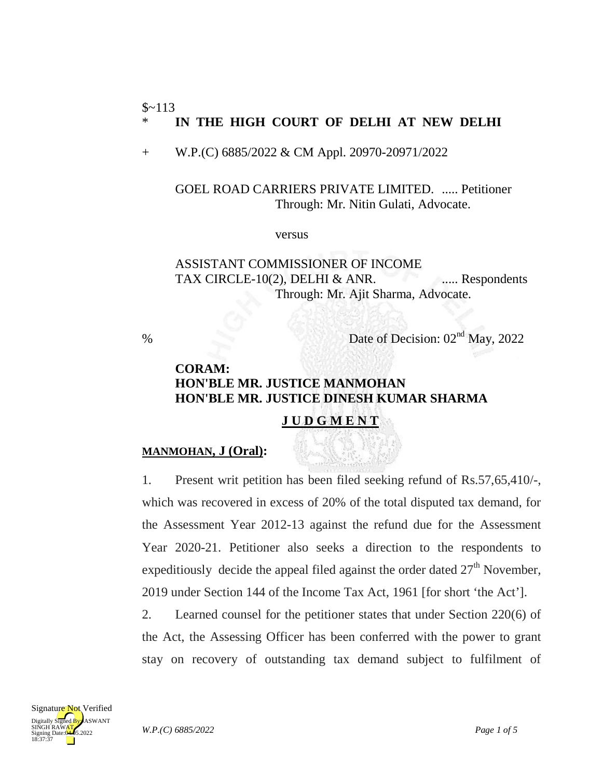#### $$~113$ \* **IN THE HIGH COURT OF DELHI AT NEW DELHI**

+ W.P.(C) 6885/2022 & CM Appl. 20970-20971/2022

GOEL ROAD CARRIERS PRIVATE LIMITED. ..... Petitioner Through: Mr. Nitin Gulati, Advocate.

versus

ASSISTANT COMMISSIONER OF INCOME TAX CIRCLE-10(2), DELHI & ANR.  $\ldots$  Respondents Through: Mr. Ajit Sharma, Advocate.

% Date of Decision:  $02<sup>nd</sup>$  May, 2022

# **CORAM: HON'BLE MR. JUSTICE MANMOHAN HON'BLE MR. JUSTICE DINESH KUMAR SHARMA**

## **J U D G M E N T**

### **MANMOHAN, J (Oral):**

1. Present writ petition has been filed seeking refund of Rs.57,65,410/-, which was recovered in excess of 20% of the total disputed tax demand, for the Assessment Year 2012-13 against the refund due for the Assessment Year 2020-21. Petitioner also seeks a direction to the respondents to expeditiously decide the appeal filed against the order dated  $27<sup>th</sup>$  November, 2019 under Section 144 of the Income Tax Act, 1961 [for short 'the Act'].

2. Learned counsel for the petitioner states that under Section 220(6) of the Act, the Assessing Officer has been conferred with the power to grant stay on recovery of outstanding tax demand subject to fulfilment of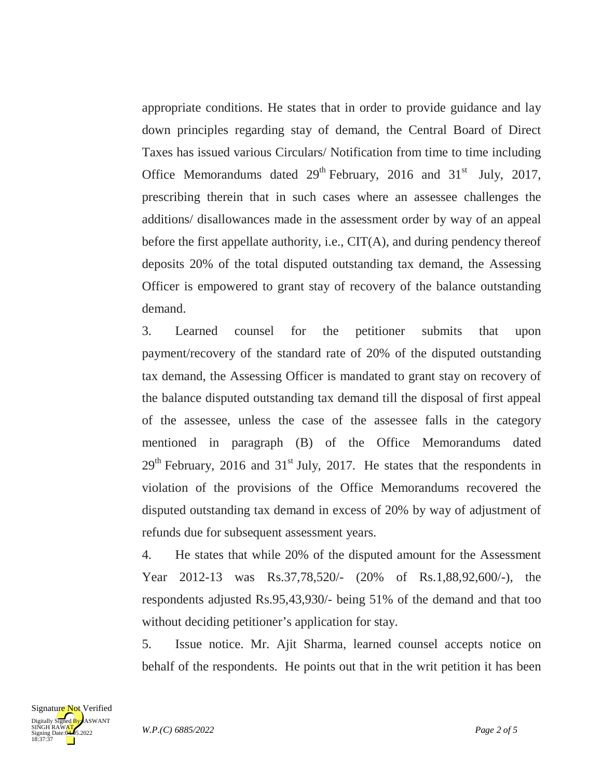appropriate conditions. He states that in order to provide guidance and lay down principles regarding stay of demand, the Central Board of Direct Taxes has issued various Circulars/ Notification from time to time including Office Memorandums dated  $29<sup>th</sup>$  February, 2016 and 31<sup>st</sup> July, 2017, prescribing therein that in such cases where an assessee challenges the additions/ disallowances made in the assessment order by way of an appeal before the first appellate authority, i.e., CIT(A), and during pendency thereof deposits 20% of the total disputed outstanding tax demand, the Assessing Officer is empowered to grant stay of recovery of the balance outstanding demand.

3. Learned counsel for the petitioner submits that upon payment/recovery of the standard rate of 20% of the disputed outstanding tax demand, the Assessing Officer is mandated to grant stay on recovery of the balance disputed outstanding tax demand till the disposal of first appeal of the assessee, unless the case of the assessee falls in the category mentioned in paragraph (B) of the Office Memorandums dated  $29<sup>th</sup>$  February, 2016 and 31<sup>st</sup> July, 2017. He states that the respondents in violation of the provisions of the Office Memorandums recovered the disputed outstanding tax demand in excess of 20% by way of adjustment of refunds due for subsequent assessment years.

4. He states that while 20% of the disputed amount for the Assessment Year 2012-13 was Rs.37,78,520/- (20% of Rs.1,88,92,600/-), the respondents adjusted Rs.95,43,930/- being 51% of the demand and that too without deciding petitioner's application for stay.

5. Issue notice. Mr. Ajit Sharma, learned counsel accepts notice on behalf of the respondents. He points out that in the writ petition it has been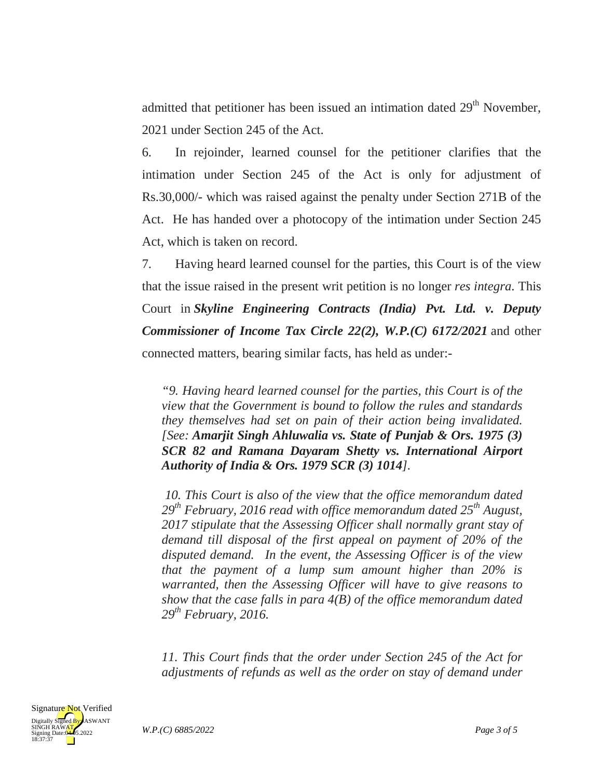admitted that petitioner has been issued an intimation dated 29<sup>th</sup> November. 2021 under Section 245 of the Act.

6. In rejoinder, learned counsel for the petitioner clarifies that the intimation under Section 245 of the Act is only for adjustment of Rs.30,000/- which was raised against the penalty under Section 271B of the Act. He has handed over a photocopy of the intimation under Section 245 Act, which is taken on record.

7. Having heard learned counsel for the parties, this Court is of the view that the issue raised in the present writ petition is no longer *res integra*. This Court in *Skyline Engineering Contracts (India) Pvt. Ltd. v. Deputy Commissioner of Income Tax Circle 22(2), W.P.(C) 6172/2021* and other connected matters, bearing similar facts, has held as under:-

*"9. Having heard learned counsel for the parties, this Court is of the view that the Government is bound to follow the rules and standards they themselves had set on pain of their action being invalidated. [See: Amarjit Singh Ahluwalia vs. State of Punjab & Ors. 1975 (3) SCR 82 and Ramana Dayaram Shetty vs. International Airport Authority of India & Ors. 1979 SCR (3) 1014].*

*10. This Court is also of the view that the office memorandum dated 29th February, 2016 read with office memorandum dated 25th August, 2017 stipulate that the Assessing Officer shall normally grant stay of demand till disposal of the first appeal on payment of 20% of the disputed demand. In the event, the Assessing Officer is of the view that the payment of a lump sum amount higher than 20% is warranted, then the Assessing Officer will have to give reasons to show that the case falls in para 4(B) of the office memorandum dated 29th February, 2016.*

*11. This Court finds that the order under Section 245 of the Act for adjustments of refunds as well as the order on stay of demand under*

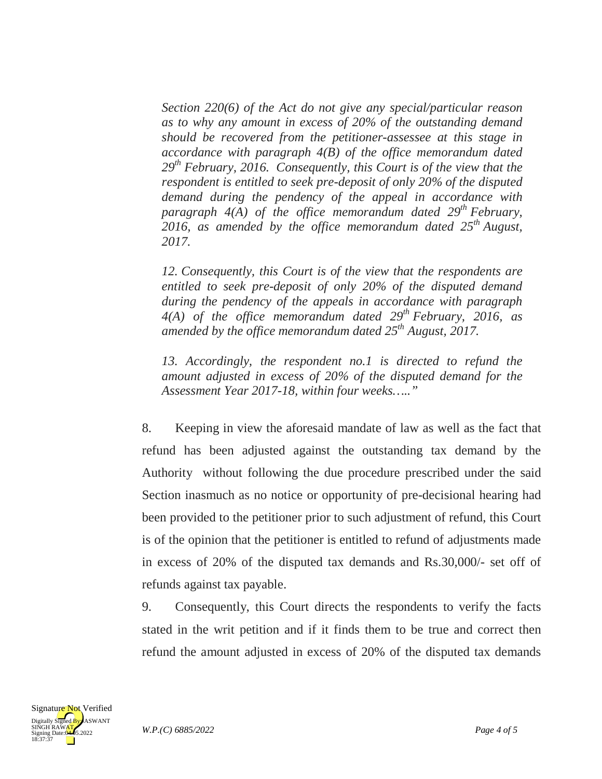*Section 220(6) of the Act do not give any special/particular reason as to why any amount in excess of 20% of the outstanding demand should be recovered from the petitioner-assessee at this stage in accordance with paragraph 4(B) of the office memorandum dated 29th February, 2016. Consequently, this Court is of the view that the respondent is entitled to seek pre-deposit of only 20% of the disputed demand during the pendency of the appeal in accordance with paragraph 4(A) of the office memorandum dated 29th February, 2016, as amended by the office memorandum dated 25th August, 2017.*

*12. Consequently, this Court is of the view that the respondents are entitled to seek pre-deposit of only 20% of the disputed demand during the pendency of the appeals in accordance with paragraph 4(A) of the office memorandum dated 29th February, 2016, as amended by the office memorandum dated 25th August, 2017.*

*13. Accordingly, the respondent no.1 is directed to refund the amount adjusted in excess of 20% of the disputed demand for the Assessment Year 2017-18, within four weeks….."*

8. Keeping in view the aforesaid mandate of law as well as the fact that refund has been adjusted against the outstanding tax demand by the Authority without following the due procedure prescribed under the said Section inasmuch as no notice or opportunity of pre-decisional hearing had been provided to the petitioner prior to such adjustment of refund, this Court is of the opinion that the petitioner is entitled to refund of adjustments made in excess of 20% of the disputed tax demands and Rs.30,000/- set off of refunds against tax payable.

9. Consequently, this Court directs the respondents to verify the facts stated in the writ petition and if it finds them to be true and correct then refund the amount adjusted in excess of 20% of the disputed tax demands